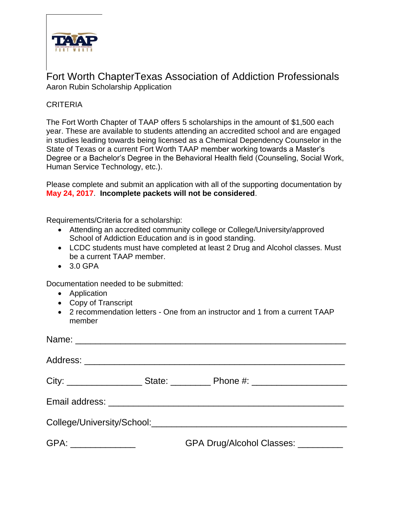

## Fort Worth ChapterTexas Association of Addiction Professionals Aaron Rubin Scholarship Application

## CRITERIA

The Fort Worth Chapter of TAAP offers 5 scholarships in the amount of \$1,500 each year. These are available to students attending an accredited school and are engaged in studies leading towards being licensed as a Chemical Dependency Counselor in the State of Texas or a current Fort Worth TAAP member working towards a Master's Degree or a Bachelor's Degree in the Behavioral Health field (Counseling, Social Work, Human Service Technology, etc.).

Please complete and submit an application with all of the supporting documentation by **May 24, 2017**. **Incomplete packets will not be considered**.

Requirements/Criteria for a scholarship:

- Attending an accredited community college or College/University/approved School of Addiction Education and is in good standing.
- LCDC students must have completed at least 2 Drug and Alcohol classes. Must be a current TAAP member.
- 3.0 GPA

Documentation needed to be submitted:

- Application
- Copy of Transcript
- 2 recommendation letters One from an instructor and 1 from a current TAAP member

|                                                                                                      |  | City: _______________________State: ________________Phone #: ____________________ |  |
|------------------------------------------------------------------------------------------------------|--|-----------------------------------------------------------------------------------|--|
|                                                                                                      |  |                                                                                   |  |
| College/University/School: 2008 2009 2010 2010 2010 2010 2010 2011 2020 2021 2022 2023 2024 2022 202 |  |                                                                                   |  |
| GPA: _________________                                                                               |  | GPA Drug/Alcohol Classes: _________                                               |  |